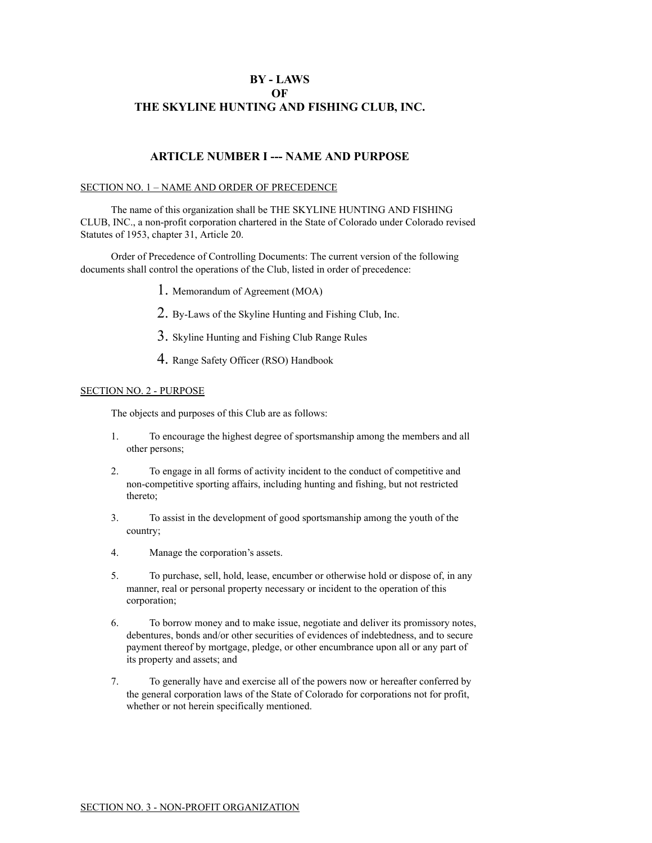# **BY - LAWS OF THE SKYLINE HUNTING AND FISHING CLUB, INC.**

# **ARTICLE NUMBER I --- NAME AND PURPOSE**

## SECTION NO. 1 – NAME AND ORDER OF PRECEDENCE

The name of this organization shall be THE SKYLINE HUNTING AND FISHING CLUB, INC., a non-profit corporation chartered in the State of Colorado under Colorado revised Statutes of 1953, chapter 31, Article 20.

Order of Precedence of Controlling Documents: The current version of the following documents shall control the operations of the Club, listed in order of precedence:

- 1. Memorandum of Agreement (MOA)
- 2. By-Laws of the Skyline Hunting and Fishing Club, Inc.
- 3. Skyline Hunting and Fishing Club Range Rules
- 4. Range Safety Officer (RSO) Handbook

#### SECTION NO. 2 - PURPOSE

The objects and purposes of this Club are as follows:

- 1. To encourage the highest degree of sportsmanship among the members and all other persons;
- 2. To engage in all forms of activity incident to the conduct of competitive and non-competitive sporting affairs, including hunting and fishing, but not restricted thereto;
- 3. To assist in the development of good sportsmanship among the youth of the country;
- 4. Manage the corporation's assets.
- 5. To purchase, sell, hold, lease, encumber or otherwise hold or dispose of, in any manner, real or personal property necessary or incident to the operation of this corporation;
- 6. To borrow money and to make issue, negotiate and deliver its promissory notes, debentures, bonds and/or other securities of evidences of indebtedness, and to secure payment thereof by mortgage, pledge, or other encumbrance upon all or any part of its property and assets; and
- 7. To generally have and exercise all of the powers now or hereafter conferred by the general corporation laws of the State of Colorado for corporations not for profit, whether or not herein specifically mentioned.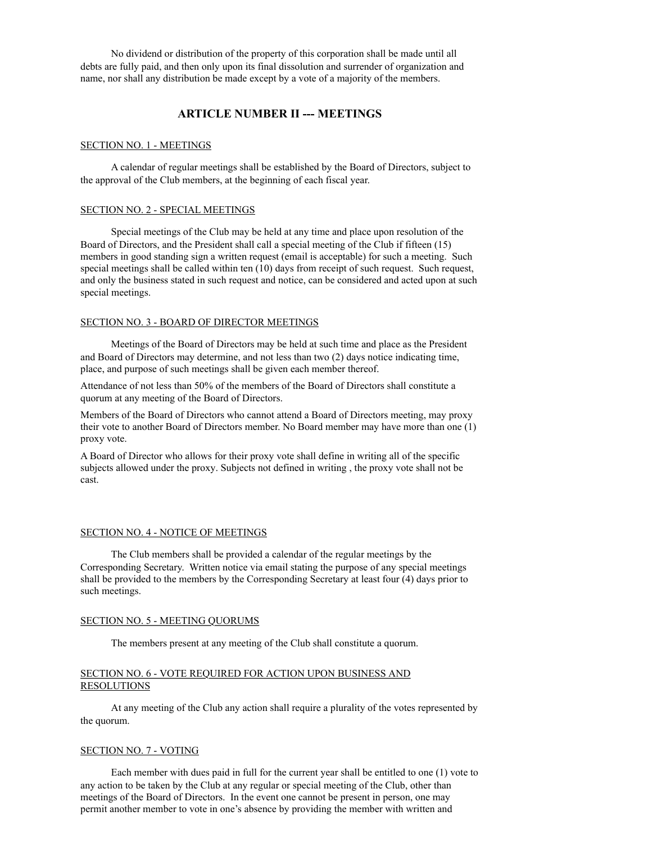No dividend or distribution of the property of this corporation shall be made until all debts are fully paid, and then only upon its final dissolution and surrender of organization and name, nor shall any distribution be made except by a vote of a majority of the members.

# **ARTICLE NUMBER II --- MEETINGS**

#### SECTION NO. 1 - MEETINGS

A calendar of regular meetings shall be established by the Board of Directors, subject to the approval of the Club members, at the beginning of each fiscal year.

## SECTION NO. 2 - SPECIAL MEETINGS

Special meetings of the Club may be held at any time and place upon resolution of the Board of Directors, and the President shall call a special meeting of the Club if fifteen (15) members in good standing sign a written request (email is acceptable) for such a meeting. Such special meetings shall be called within ten (10) days from receipt of such request. Such request, and only the business stated in such request and notice, can be considered and acted upon at such special meetings.

## SECTION NO. 3 - BOARD OF DIRECTOR MEETINGS

Meetings of the Board of Directors may be held at such time and place as the President and Board of Directors may determine, and not less than two (2) days notice indicating time, place, and purpose of such meetings shall be given each member thereof.

Attendance of not less than 50% of the members of the Board of Directors shall constitute a quorum at any meeting of the Board of Directors.

Members of the Board of Directors who cannot attend a Board of Directors meeting, may proxy their vote to another Board of Directors member. No Board member may have more than one (1) proxy vote.

A Board of Director who allows for their proxy vote shall define in writing all of the specific subjects allowed under the proxy. Subjects not defined in writing , the proxy vote shall not be cast.

## SECTION NO. 4 - NOTICE OF MEETINGS

The Club members shall be provided a calendar of the regular meetings by the Corresponding Secretary. Written notice via email stating the purpose of any special meetings shall be provided to the members by the Corresponding Secretary at least four (4) days prior to such meetings.

## SECTION NO. 5 - MEETING QUORUMS

The members present at any meeting of the Club shall constitute a quorum.

## SECTION NO. 6 - VOTE REQUIRED FOR ACTION UPON BUSINESS AND RESOLUTIONS

At any meeting of the Club any action shall require a plurality of the votes represented by the quorum.

### SECTION NO. 7 - VOTING

Each member with dues paid in full for the current year shall be entitled to one (1) vote to any action to be taken by the Club at any regular or special meeting of the Club, other than meetings of the Board of Directors. In the event one cannot be present in person, one may permit another member to vote in one's absence by providing the member with written and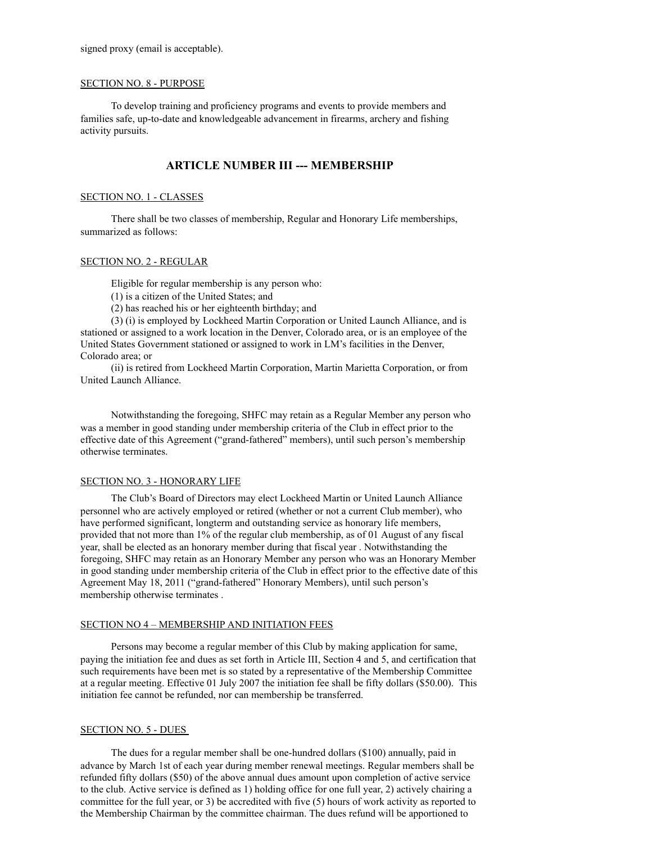signed proxy (email is acceptable).

## SECTION NO. 8 - PURPOSE

To develop training and proficiency programs and events to provide members and families safe, up-to-date and knowledgeable advancement in firearms, archery and fishing activity pursuits.

# **ARTICLE NUMBER III --- MEMBERSHIP**

#### SECTION NO. 1 - CLASSES

There shall be two classes of membership, Regular and Honorary Life memberships, summarized as follows:

### SECTION NO. 2 - REGULAR

Eligible for regular membership is any person who:

(1) is a citizen of the United States; and

(2) has reached his or her eighteenth birthday; and

(3) (i) is employed by Lockheed Martin Corporation or United Launch Alliance, and is stationed or assigned to a work location in the Denver, Colorado area, or is an employee of the United States Government stationed or assigned to work in LM's facilities in the Denver, Colorado area; or

(ii) is retired from Lockheed Martin Corporation, Martin Marietta Corporation, or from United Launch Alliance.

Notwithstanding the foregoing, SHFC may retain as a Regular Member any person who was a member in good standing under membership criteria of the Club in effect prior to the effective date of this Agreement ("grand-fathered" members), until such person's membership otherwise terminates.

#### SECTION NO. 3 - HONORARY LIFE

The Club's Board of Directors may elect Lockheed Martin or United Launch Alliance personnel who are actively employed or retired (whether or not a current Club member), who have performed significant, longterm and outstanding service as honorary life members, provided that not more than 1% of the regular club membership, as of 01 August of any fiscal year, shall be elected as an honorary member during that fiscal year . Notwithstanding the foregoing, SHFC may retain as an Honorary Member any person who was an Honorary Member in good standing under membership criteria of the Club in effect prior to the effective date of this Agreement May 18, 2011 ("grand-fathered" Honorary Members), until such person's membership otherwise terminates .

### SECTION NO 4 – MEMBERSHIP AND INITIATION FEES

Persons may become a regular member of this Club by making application for same, paying the initiation fee and dues as set forth in Article III, Section 4 and 5, and certification that such requirements have been met is so stated by a representative of the Membership Committee at a regular meeting. Effective 01 July 2007 the initiation fee shall be fifty dollars (\$50.00). This initiation fee cannot be refunded, nor can membership be transferred.

#### SECTION NO. 5 - DUES

The dues for a regular member shall be one-hundred dollars (\$100) annually, paid in advance by March 1st of each year during member renewal meetings. Regular members shall be refunded fifty dollars (\$50) of the above annual dues amount upon completion of active service to the club. Active service is defined as 1) holding office for one full year, 2) actively chairing a committee for the full year, or 3) be accredited with five (5) hours of work activity as reported to the Membership Chairman by the committee chairman. The dues refund will be apportioned to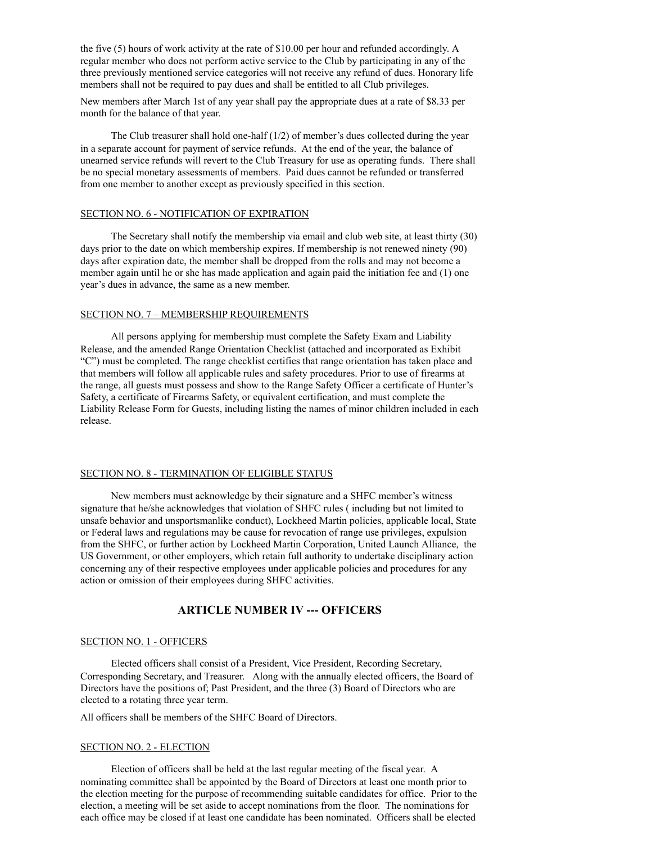the five (5) hours of work activity at the rate of \$10.00 per hour and refunded accordingly. A regular member who does not perform active service to the Club by participating in any of the three previously mentioned service categories will not receive any refund of dues. Honorary life members shall not be required to pay dues and shall be entitled to all Club privileges.

New members after March 1st of any year shall pay the appropriate dues at a rate of \$8.33 per month for the balance of that year.

The Club treasurer shall hold one-half  $(1/2)$  of member's dues collected during the year in a separate account for payment of service refunds. At the end of the year, the balance of unearned service refunds will revert to the Club Treasury for use as operating funds. There shall be no special monetary assessments of members. Paid dues cannot be refunded or transferred from one member to another except as previously specified in this section.

## SECTION NO. 6 - NOTIFICATION OF EXPIRATION

The Secretary shall notify the membership via email and club web site, at least thirty (30) days prior to the date on which membership expires. If membership is not renewed ninety (90) days after expiration date, the member shall be dropped from the rolls and may not become a member again until he or she has made application and again paid the initiation fee and (1) one year's dues in advance, the same as a new member.

### SECTION NO. 7 – MEMBERSHIP REQUIREMENTS

All persons applying for membership must complete the Safety Exam and Liability Release, and the amended Range Orientation Checklist (attached and incorporated as Exhibit "C") must be completed. The range checklist certifies that range orientation has taken place and that members will follow all applicable rules and safety procedures. Prior to use of firearms at the range, all guests must possess and show to the Range Safety Officer a certificate of Hunter's Safety, a certificate of Firearms Safety, or equivalent certification, and must complete the Liability Release Form for Guests, including listing the names of minor children included in each release.

### SECTION NO. 8 - TERMINATION OF ELIGIBLE STATUS

New members must acknowledge by their signature and a SHFC member's witness signature that he/she acknowledges that violation of SHFC rules ( including but not limited to unsafe behavior and unsportsmanlike conduct), Lockheed Martin policies, applicable local, State or Federal laws and regulations may be cause for revocation of range use privileges, expulsion from the SHFC, or further action by Lockheed Martin Corporation, United Launch Alliance, the US Government, or other employers, which retain full authority to undertake disciplinary action concerning any of their respective employees under applicable policies and procedures for any action or omission of their employees during SHFC activities.

## **ARTICLE NUMBER IV --- OFFICERS**

#### SECTION NO. 1 - OFFICERS

Elected officers shall consist of a President, Vice President, Recording Secretary, Corresponding Secretary, and Treasurer. Along with the annually elected officers, the Board of Directors have the positions of; Past President, and the three (3) Board of Directors who are elected to a rotating three year term.

All officers shall be members of the SHFC Board of Directors.

#### SECTION NO. 2 - ELECTION

Election of officers shall be held at the last regular meeting of the fiscal year. A nominating committee shall be appointed by the Board of Directors at least one month prior to the election meeting for the purpose of recommending suitable candidates for office. Prior to the election, a meeting will be set aside to accept nominations from the floor. The nominations for each office may be closed if at least one candidate has been nominated. Officers shall be elected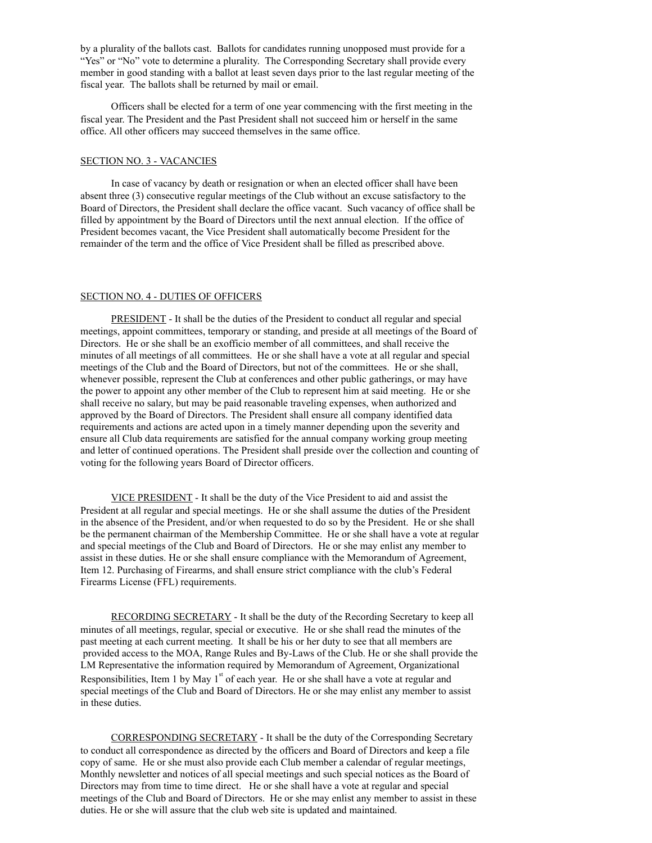by a plurality of the ballots cast. Ballots for candidates running unopposed must provide for a "Yes" or "No" vote to determine a plurality. The Corresponding Secretary shall provide every member in good standing with a ballot at least seven days prior to the last regular meeting of the fiscal year. The ballots shall be returned by mail or email.

Officers shall be elected for a term of one year commencing with the first meeting in the fiscal year. The President and the Past President shall not succeed him or herself in the same office. All other officers may succeed themselves in the same office.

### SECTION NO. 3 - VACANCIES

In case of vacancy by death or resignation or when an elected officer shall have been absent three (3) consecutive regular meetings of the Club without an excuse satisfactory to the Board of Directors, the President shall declare the office vacant. Such vacancy of office shall be filled by appointment by the Board of Directors until the next annual election. If the office of President becomes vacant, the Vice President shall automatically become President for the remainder of the term and the office of Vice President shall be filled as prescribed above.

#### SECTION NO. 4 - DUTIES OF OFFICERS

PRESIDENT - It shall be the duties of the President to conduct all regular and special meetings, appoint committees, temporary or standing, and preside at all meetings of the Board of Directors. He or she shall be an exofficio member of all committees, and shall receive the minutes of all meetings of all committees. He or she shall have a vote at all regular and special meetings of the Club and the Board of Directors, but not of the committees. He or she shall, whenever possible, represent the Club at conferences and other public gatherings, or may have the power to appoint any other member of the Club to represent him at said meeting. He or she shall receive no salary, but may be paid reasonable traveling expenses, when authorized and approved by the Board of Directors. The President shall ensure all company identified data requirements and actions are acted upon in a timely manner depending upon the severity and ensure all Club data requirements are satisfied for the annual company working group meeting and letter of continued operations. The President shall preside over the collection and counting of voting for the following years Board of Director officers.

VICE PRESIDENT - It shall be the duty of the Vice President to aid and assist the President at all regular and special meetings. He or she shall assume the duties of the President in the absence of the President, and/or when requested to do so by the President. He or she shall be the permanent chairman of the Membership Committee. He or she shall have a vote at regular and special meetings of the Club and Board of Directors. He or she may enlist any member to assist in these duties. He or she shall ensure compliance with the Memorandum of Agreement, Item 12. Purchasing of Firearms, and shall ensure strict compliance with the club's Federal Firearms License (FFL) requirements.

RECORDING SECRETARY - It shall be the duty of the Recording Secretary to keep all minutes of all meetings, regular, special or executive. He or she shall read the minutes of the past meeting at each current meeting. It shall be his or her duty to see that all members are provided access to the MOA, Range Rules and By-Laws of the Club. He or she shall provide the LM Representative the information required by Memorandum of Agreement, Organizational Responsibilities, Item 1 by May  $1<sup>st</sup>$  of each year. He or she shall have a vote at regular and special meetings of the Club and Board of Directors. He or she may enlist any member to assist in these duties.

CORRESPONDING SECRETARY - It shall be the duty of the Corresponding Secretary to conduct all correspondence as directed by the officers and Board of Directors and keep a file copy of same. He or she must also provide each Club member a calendar of regular meetings, Monthly newsletter and notices of all special meetings and such special notices as the Board of Directors may from time to time direct. He or she shall have a vote at regular and special meetings of the Club and Board of Directors. He or she may enlist any member to assist in these duties. He or she will assure that the club web site is updated and maintained.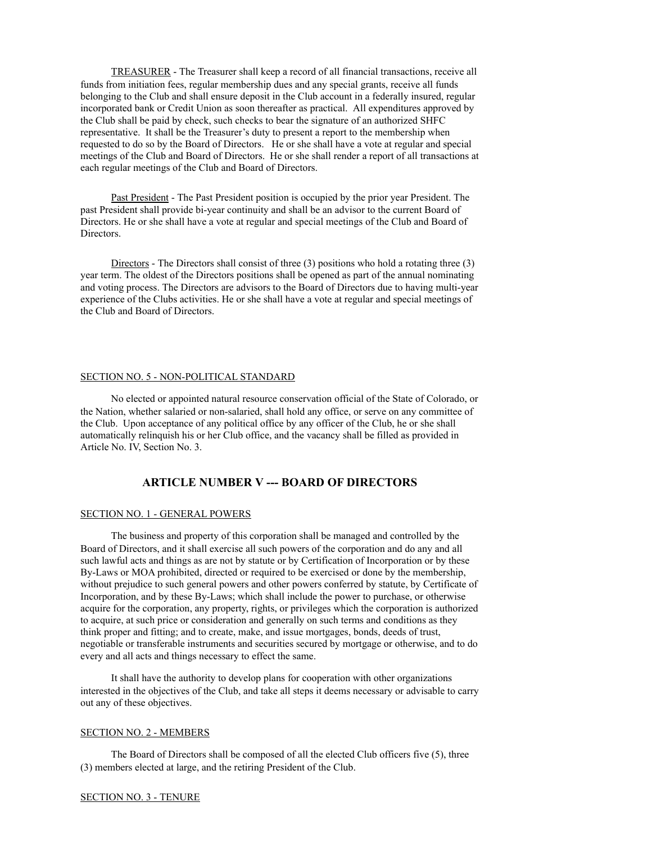TREASURER - The Treasurer shall keep a record of all financial transactions, receive all funds from initiation fees, regular membership dues and any special grants, receive all funds belonging to the Club and shall ensure deposit in the Club account in a federally insured, regular incorporated bank or Credit Union as soon thereafter as practical. All expenditures approved by the Club shall be paid by check, such checks to bear the signature of an authorized SHFC representative. It shall be the Treasurer's duty to present a report to the membership when requested to do so by the Board of Directors. He or she shall have a vote at regular and special meetings of the Club and Board of Directors. He or she shall render a report of all transactions at each regular meetings of the Club and Board of Directors.

Past President - The Past President position is occupied by the prior year President. The past President shall provide bi-year continuity and shall be an advisor to the current Board of Directors. He or she shall have a vote at regular and special meetings of the Club and Board of Directors.

Directors - The Directors shall consist of three  $(3)$  positions who hold a rotating three  $(3)$ year term. The oldest of the Directors positions shall be opened as part of the annual nominating and voting process. The Directors are advisors to the Board of Directors due to having multi-year experience of the Clubs activities. He or she shall have a vote at regular and special meetings of the Club and Board of Directors.

#### SECTION NO. 5 - NON-POLITICAL STANDARD

No elected or appointed natural resource conservation official of the State of Colorado, or the Nation, whether salaried or non-salaried, shall hold any office, or serve on any committee of the Club. Upon acceptance of any political office by any officer of the Club, he or she shall automatically relinquish his or her Club office, and the vacancy shall be filled as provided in Article No. IV, Section No. 3.

# **ARTICLE NUMBER V --- BOARD OF DIRECTORS**

### SECTION NO. 1 - GENERAL POWERS

The business and property of this corporation shall be managed and controlled by the Board of Directors, and it shall exercise all such powers of the corporation and do any and all such lawful acts and things as are not by statute or by Certification of Incorporation or by these By-Laws or MOA prohibited, directed or required to be exercised or done by the membership, without prejudice to such general powers and other powers conferred by statute, by Certificate of Incorporation, and by these By-Laws; which shall include the power to purchase, or otherwise acquire for the corporation, any property, rights, or privileges which the corporation is authorized to acquire, at such price or consideration and generally on such terms and conditions as they think proper and fitting; and to create, make, and issue mortgages, bonds, deeds of trust, negotiable or transferable instruments and securities secured by mortgage or otherwise, and to do every and all acts and things necessary to effect the same.

It shall have the authority to develop plans for cooperation with other organizations interested in the objectives of the Club, and take all steps it deems necessary or advisable to carry out any of these objectives.

#### SECTION NO. 2 - MEMBERS

The Board of Directors shall be composed of all the elected Club officers five (5), three (3) members elected at large, and the retiring President of the Club.

#### SECTION NO. 3 - TENURE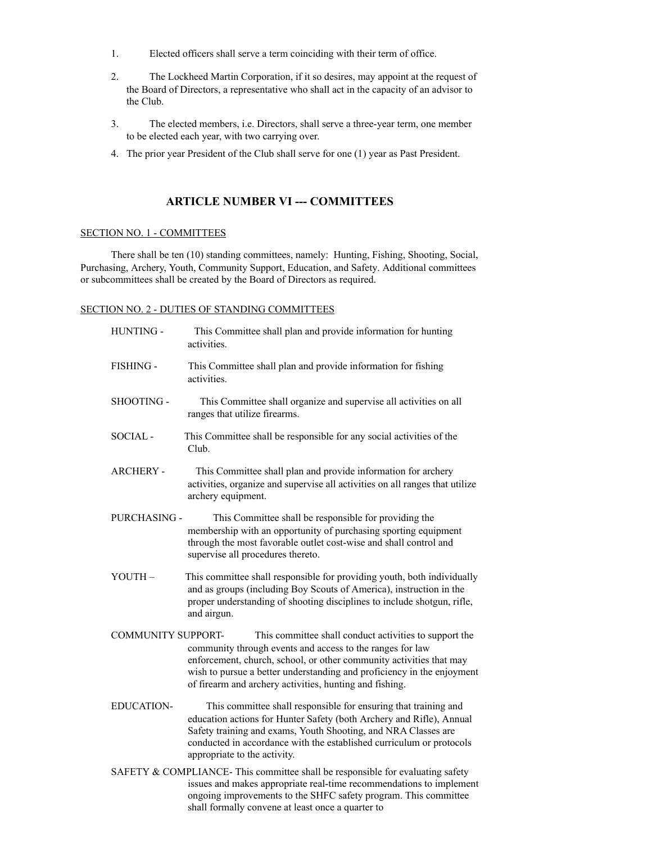- 1. Elected officers shall serve a term coinciding with their term of office.
- 2. The Lockheed Martin Corporation, if it so desires, may appoint at the request of the Board of Directors, a representative who shall act in the capacity of an advisor to the Club.
- 3. The elected members, i.e. Directors, shall serve a three-year term, one member to be elected each year, with two carrying over.
- 4. The prior year President of the Club shall serve for one (1) year as Past President.

# **ARTICLE NUMBER VI --- COMMITTEES**

## SECTION NO. 1 - COMMITTEES

There shall be ten (10) standing committees, namely: Hunting, Fishing, Shooting, Social, Purchasing, Archery, Youth, Community Support, Education, and Safety. Additional committees or subcommittees shall be created by the Board of Directors as required.

## SECTION NO. 2 - DUTIES OF STANDING COMMITTEES

| HUNTING -                 | This Committee shall plan and provide information for hunting<br>activities                                                                                                                                                                                                                                                     |
|---------------------------|---------------------------------------------------------------------------------------------------------------------------------------------------------------------------------------------------------------------------------------------------------------------------------------------------------------------------------|
| FISHING -                 | This Committee shall plan and provide information for fishing<br>activities.                                                                                                                                                                                                                                                    |
| SHOOTING -                | This Committee shall organize and supervise all activities on all<br>ranges that utilize firearms.                                                                                                                                                                                                                              |
| SOCIAL-                   | This Committee shall be responsible for any social activities of the<br>Club.                                                                                                                                                                                                                                                   |
| <b>ARCHERY -</b>          | This Committee shall plan and provide information for archery<br>activities, organize and supervise all activities on all ranges that utilize<br>archery equipment.                                                                                                                                                             |
| PURCHASING -              | This Committee shall be responsible for providing the<br>membership with an opportunity of purchasing sporting equipment<br>through the most favorable outlet cost-wise and shall control and<br>supervise all procedures thereto.                                                                                              |
| YOUTH-                    | This committee shall responsible for providing youth, both individually<br>and as groups (including Boy Scouts of America), instruction in the<br>proper understanding of shooting disciplines to include shotgun, rifle,<br>and airgun.                                                                                        |
| <b>COMMUNITY SUPPORT-</b> | This committee shall conduct activities to support the<br>community through events and access to the ranges for law<br>enforcement, church, school, or other community activities that may<br>wish to pursue a better understanding and proficiency in the enjoyment<br>of firearm and archery activities, hunting and fishing. |
| <b>EDUCATION-</b>         | This committee shall responsible for ensuring that training and<br>education actions for Hunter Safety (both Archery and Rifle), Annual<br>Safety training and exams, Youth Shooting, and NRA Classes are<br>conducted in accordance with the established curriculum or protocols<br>appropriate to the activity.               |
|                           | SAFETY & COMPLIANCE-This committee shall be responsible for evaluating safety<br>issues and makes appropriate real-time recommendations to implement<br>ongoing improvements to the SHFC safety program. This committee                                                                                                         |

shall formally convene at least once a quarter to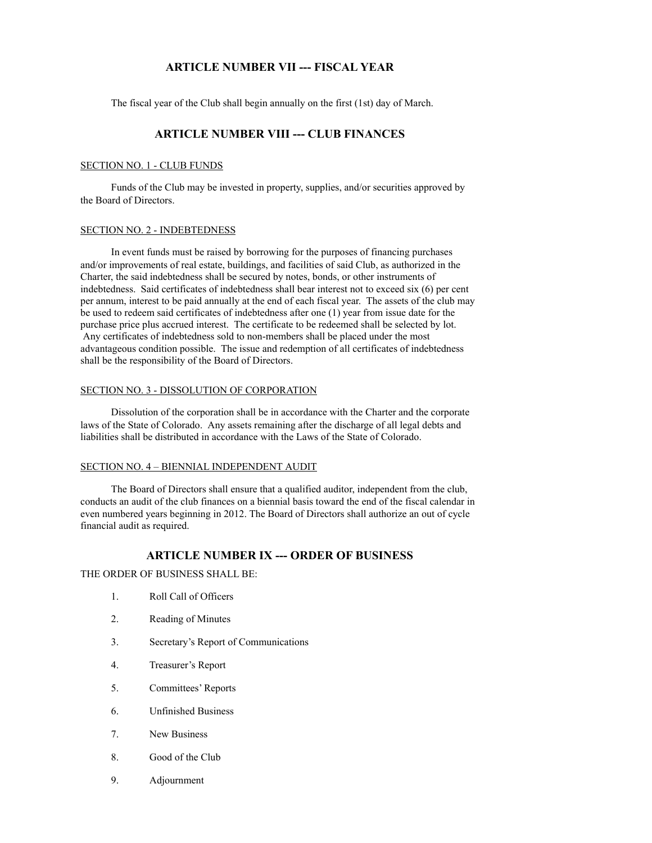# **ARTICLE NUMBER VII --- FISCAL YEAR**

The fiscal year of the Club shall begin annually on the first (1st) day of March.

# **ARTICLE NUMBER VIII --- CLUB FINANCES**

## SECTION NO. 1 - CLUB FUNDS

Funds of the Club may be invested in property, supplies, and/or securities approved by the Board of Directors.

## SECTION NO. 2 - INDEBTEDNESS

In event funds must be raised by borrowing for the purposes of financing purchases and/or improvements of real estate, buildings, and facilities of said Club, as authorized in the Charter, the said indebtedness shall be secured by notes, bonds, or other instruments of indebtedness. Said certificates of indebtedness shall bear interest not to exceed six (6) per cent per annum, interest to be paid annually at the end of each fiscal year. The assets of the club may be used to redeem said certificates of indebtedness after one (1) year from issue date for the purchase price plus accrued interest. The certificate to be redeemed shall be selected by lot. Any certificates of indebtedness sold to non-members shall be placed under the most advantageous condition possible. The issue and redemption of all certificates of indebtedness shall be the responsibility of the Board of Directors.

#### SECTION NO. 3 - DISSOLUTION OF CORPORATION

Dissolution of the corporation shall be in accordance with the Charter and the corporate laws of the State of Colorado. Any assets remaining after the discharge of all legal debts and liabilities shall be distributed in accordance with the Laws of the State of Colorado.

#### SECTION NO. 4 – BIENNIAL INDEPENDENT AUDIT

The Board of Directors shall ensure that a qualified auditor, independent from the club, conducts an audit of the club finances on a biennial basis toward the end of the fiscal calendar in even numbered years beginning in 2012. The Board of Directors shall authorize an out of cycle financial audit as required.

# **ARTICLE NUMBER IX --- ORDER OF BUSINESS**

THE ORDER OF BUSINESS SHALL BE:

- 1. Roll Call of Officers
- 2. Reading of Minutes
- 3. Secretary's Report of Communications
- 4. Treasurer's Report
- 5. Committees' Reports
- 6. Unfinished Business
- 7. New Business
- 8. Good of the Club
- 9. Adjournment